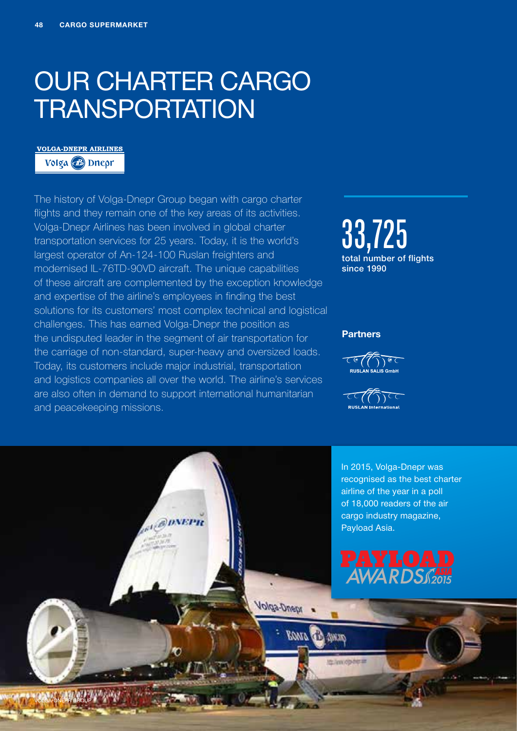## OUR CHARTER CARGO **TRANSPORTATION**

### **VOLGA-DNEPR AIRLINES**

Volga B Dneor

The history of Volga-Dnepr Group began with cargo charter flights and they remain one of the key areas of its activities. Volga-Dnepr Airlines has been involved in global charter transportation services for 25 years. Today, it is the world's largest operator of An-124-100 Ruslan freighters and modernised IL-76TD-90VD aircraft. The unique capabilities of these aircraft are complemented by the exception knowledge and expertise of the airline's employees in finding the best solutions for its customers' most complex technical and logistical challenges. This has earned Volga-Dnepr the position as the undisputed leader in the segment of air transportation for the carriage of non-standard, super-heavy and oversized loads. Today, its customers include major industrial, transportation and logistics companies all over the world. The airline's services are also often in demand to support international humanitarian and peacekeeping missions.

*<b>DIVEPH* 

**Volga-Dnepr** 

**BANA Ch** 

AWAY

to leavigate in

33,725 total number of flights since 1990

#### **Partners**





In 2015, Volga-Dnepr was recognised as the best charter airline of the year in a poll of 18,000 readers of the air cargo industry magazine, Payload Asia.



VOLGA-DNEPR GROUP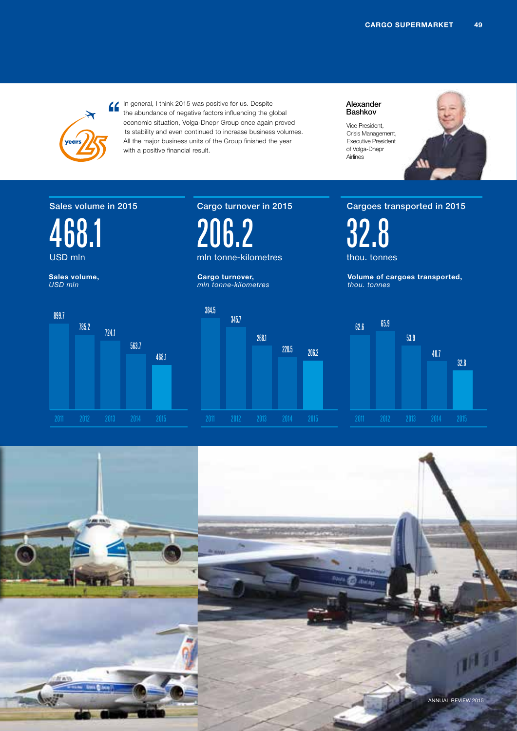

In general, I think 2015 was positive for us. Despite the abundance of negative factors influencing the global economic situation, Volga-Dnepr Group once again proved its stability and even continued to increase business volumes. All the major business units of the Group finished the year with a positive financial result.

Alexander Bashkov

Vice President, Crisis Management, Executive President of Volga-Dnepr Airlines



### Sales volume in 2015

563.7



**Sales volume,** *USD mln*

899.7

### 206.2 mln tonne-kilometres

Cargo turnover in 2015

**Cargo turnover,** *mln tonne-kilometres*



#### Cargoes transported in 2015

32.8 thou. tonnes

**Volume of cargoes transported,** *thou. tonnes*



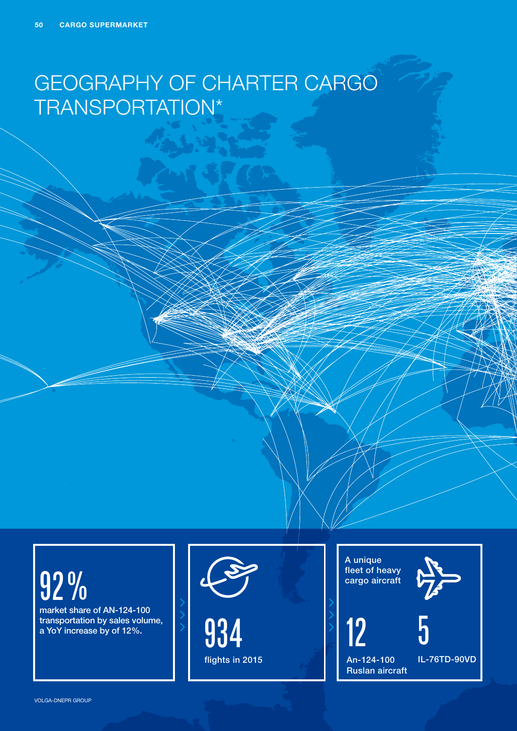### GEOGRAPHY OF CHARTER CARGO TRANSPORTATION\*

# 92%

market share of AN-124-100



A unique fleet of heavy cargo aircraft





Аn-124-100 Ruslan aircraft

5

IL-76TD-90VD